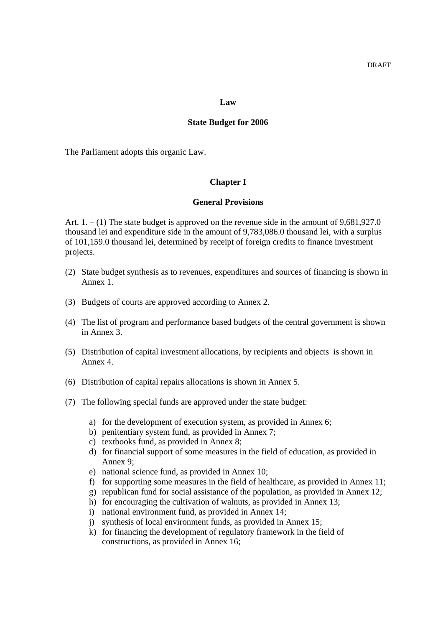#### **Law**

#### **State Budget for 2006**

The Parliament adopts this organic Law.

#### **Chapter I**

## **General Provisions**

Art.  $1. - (1)$  The state budget is approved on the revenue side in the amount of 9,681,927.0 thousand lei and expenditure side in the amount of 9,783,086.0 thousand lei, with a surplus of 101,159.0 thousand lei, determined by receipt of foreign credits to finance investment projects.

- (2) State budget synthesis as to revenues, expenditures and sources of financing is shown in Annex 1.
- (3) Budgets of courts are approved according to Annex 2.
- (4) The list of program and performance based budgets of the central government is shown in Annex 3.
- (5) Distribution of capital investment allocations, by recipients and objects is shown in Annex 4.
- (6) Distribution of capital repairs allocations is shown in Annex 5.
- (7) The following special funds are approved under the state budget:
	- a) for the development of execution system, as provided in Annex 6;
	- b) penitentiary system fund, as provided in Annex 7;
	- c) textbooks fund, as provided in Annex 8;
	- d) for financial support of some measures in the field of education, as provided in Annex 9;
	- e) national science fund, as provided in Annex 10;
	- f) for supporting some measures in the field of healthcare, as provided in Annex 11;
	- g) republican fund for social assistance of the population, as provided in Annex 12;
	- h) for encouraging the cultivation of walnuts, as provided in Annex 13;
	- i) national environment fund, as provided in Annex 14;
	- j) synthesis of local environment funds, as provided in Annex 15;
	- k) for financing the development of regulatory framework in the field of constructions, as provided in Annex 16;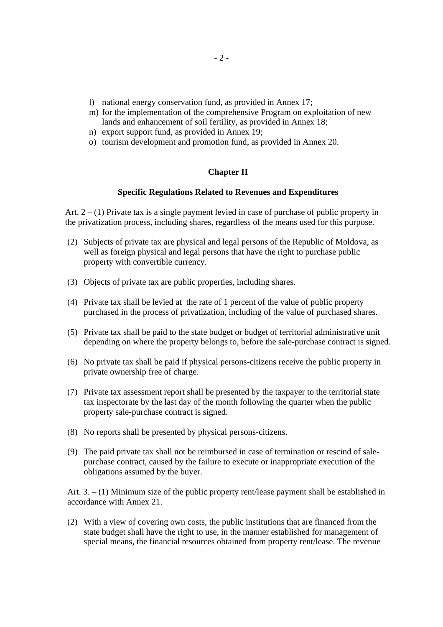- l) national energy conservation fund, as provided in Annex 17;
- m) for the implementation of the comprehensive Program on exploitation of new lands and enhancement of soil fertility, as provided in Annex 18;
- n) export support fund, as provided in Annex 19;
- o) tourism development and promotion fund, as provided in Annex 20.

# **Chapter II**

## **Specific Regulations Related to Revenues and Expenditures**

Art.  $2 - (1)$  Private tax is a single payment levied in case of purchase of public property in the privatization process, including shares, regardless of the means used for this purpose.

- (2) Subjects of private tax are physical and legal persons of the Republic of Moldova, as well as foreign physical and legal persons that have the right to purchase public property with convertible currency.
- (3) Objects of private tax are public properties, including shares.
- (4) Private tax shall be levied at the rate of 1 percent of the value of public property purchased in the process of privatization, including of the value of purchased shares.
- (5) Private tax shall be paid to the state budget or budget of territorial administrative unit depending on where the property belongs to, before the sale-purchase contract is signed.
- (6) No private tax shall be paid if physical persons-citizens receive the public property in private ownership free of charge.
- (7) Private tax assessment report shall be presented by the taxpayer to the territorial state tax inspectorate by the last day of the month following the quarter when the public property sale-purchase contract is signed.
- (8) No reports shall be presented by physical persons-citizens.
- (9) The paid private tax shall not be reimbursed in case of termination or rescind of salepurchase contract, caused by the failure to execute or inappropriate execution of the obligations assumed by the buyer.

Art. 3. – (1) Minimum size of the public property rent/lease payment shall be established in accordance with Annex 21.

(2) With a view of covering own costs, the public institutions that are financed from the state budget shall have the right to use, in the manner established for management of special means, the financial resources obtained from property rent/lease. The revenue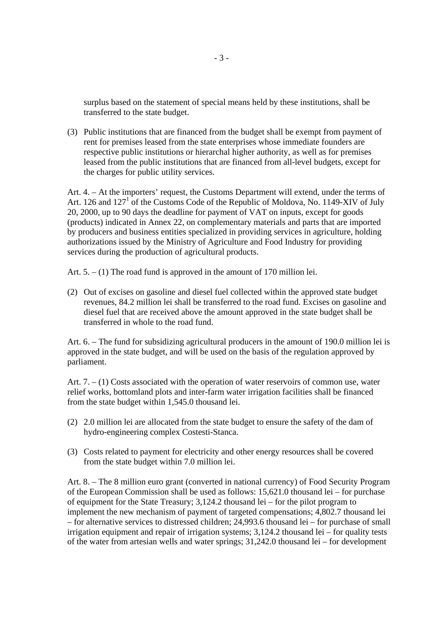surplus based on the statement of special means held by these institutions, shall be transferred to the state budget.

(3) Public institutions that are financed from the budget shall be exempt from payment of rent for premises leased from the state enterprises whose immediate founders are respective public institutions or hierarchal higher authority, as well as for premises leased from the public institutions that are financed from all-level budgets, except for the charges for public utility services.

Art. 4. – At the importers' request, the Customs Department will extend, under the terms of Art. 126 and 127<sup>1</sup> of the Customs Code of the Republic of Moldova, No. 1149-XIV of July 20, 2000, up to 90 days the deadline for payment of VAT on inputs, except for goods (products) indicated in Annex 22, on complementary materials and parts that are imported by producers and business entities specialized in providing services in agriculture, holding authorizations issued by the Ministry of Agriculture and Food Industry for providing services during the production of agricultural products.

Art.  $5. - (1)$  The road fund is approved in the amount of 170 million lei.

(2) Out of excises on gasoline and diesel fuel collected within the approved state budget revenues, 84.2 million lei shall be transferred to the road fund. Excises on gasoline and diesel fuel that are received above the amount approved in the state budget shall be transferred in whole to the road fund.

Art. 6. – The fund for subsidizing agricultural producers in the amount of 190.0 million lei is approved in the state budget, and will be used on the basis of the regulation approved by parliament.

Art. 7. – (1) Costs associated with the operation of water reservoirs of common use, water relief works, bottomland plots and inter-farm water irrigation facilities shall be financed from the state budget within 1,545.0 thousand lei.

- (2) 2.0 million lei are allocated from the state budget to ensure the safety of the dam of hydro-engineering complex Costesti-Stanca.
- (3) Costs related to payment for electricity and other energy resources shall be covered from the state budget within 7.0 million lei.

Art. 8. – The 8 million euro grant (converted in national currency) of Food Security Program of the European Commission shall be used as follows: 15,621.0 thousand lei – for purchase of equipment for the State Treasury; 3,124.2 thousand lei – for the pilot program to implement the new mechanism of payment of targeted compensations; 4,802.7 thousand lei – for alternative services to distressed children; 24,993.6 thousand lei – for purchase of small irrigation equipment and repair of irrigation systems; 3,124.2 thousand lei – for quality tests of the water from artesian wells and water springs; 31,242.0 thousand lei – for development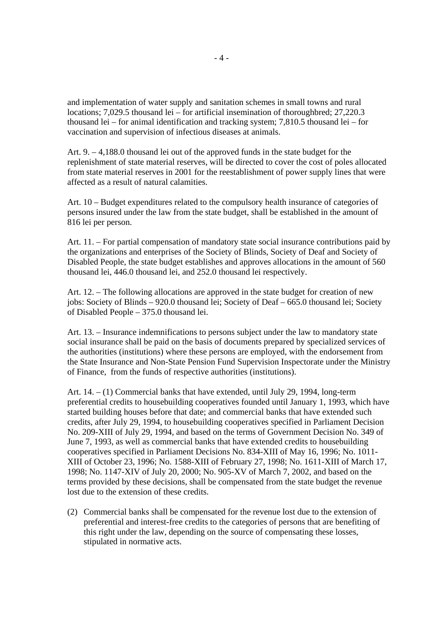and implementation of water supply and sanitation schemes in small towns and rural locations; 7,029.5 thousand lei – for artificial insemination of thoroughbred; 27,220.3 thousand lei – for animal identification and tracking system; 7,810.5 thousand lei – for vaccination and supervision of infectious diseases at animals.

Art. 9. – 4,188.0 thousand lei out of the approved funds in the state budget for the replenishment of state material reserves, will be directed to cover the cost of poles allocated from state material reserves in 2001 for the reestablishment of power supply lines that were affected as a result of natural calamities.

Art. 10 – Budget expenditures related to the compulsory health insurance of categories of persons insured under the law from the state budget, shall be established in the amount of 816 lei per person.

Art. 11. – For partial compensation of mandatory state social insurance contributions paid by the organizations and enterprises of the Society of Blinds, Society of Deaf and Society of Disabled People, the state budget establishes and approves allocations in the amount of 560 thousand lei, 446.0 thousand lei, and 252.0 thousand lei respectively.

Art. 12. – The following allocations are approved in the state budget for creation of new jobs: Society of Blinds – 920.0 thousand lei; Society of Deaf – 665.0 thousand lei; Society of Disabled People – 375.0 thousand lei.

Art. 13. – Insurance indemnifications to persons subject under the law to mandatory state social insurance shall be paid on the basis of documents prepared by specialized services of the authorities (institutions) where these persons are employed, with the endorsement from the State Insurance and Non-State Pension Fund Supervision Inspectorate under the Ministry of Finance, from the funds of respective authorities (institutions).

Art. 14. – (1) Commercial banks that have extended, until July 29, 1994, long-term preferential credits to housebuilding cooperatives founded until January 1, 1993, which have started building houses before that date; and commercial banks that have extended such credits, after July 29, 1994, to housebuilding cooperatives specified in Parliament Decision No. 209-XIII of July 29, 1994, and based on the terms of Government Decision No. 349 of June 7, 1993, as well as commercial banks that have extended credits to housebuilding cooperatives specified in Parliament Decisions No. 834-XIII of May 16, 1996; No. 1011- XIII of October 23, 1996; No. 1588-XIII of February 27, 1998; No. 1611-XIII of March 17, 1998; No. 1147-XIV of July 20, 2000; No. 905-XV of March 7, 2002, and based on the terms provided by these decisions, shall be compensated from the state budget the revenue lost due to the extension of these credits.

(2) Commercial banks shall be compensated for the revenue lost due to the extension of preferential and interest-free credits to the categories of persons that are benefiting of this right under the law, depending on the source of compensating these losses, stipulated in normative acts.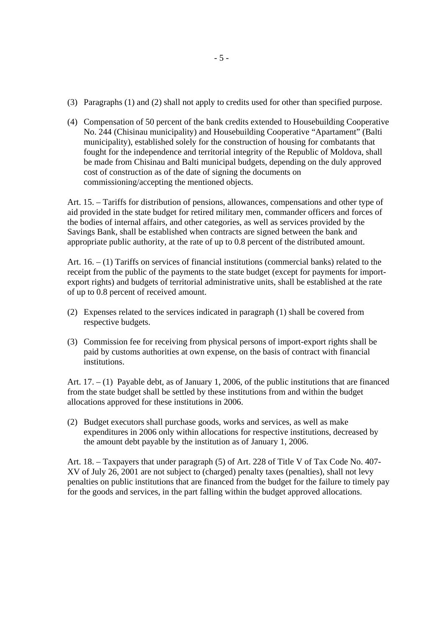- (3) Paragraphs (1) and (2) shall not apply to credits used for other than specified purpose.
- (4) Compensation of 50 percent of the bank credits extended to Housebuilding Cooperative No. 244 (Chisinau municipality) and Housebuilding Cooperative "Apartament" (Balti municipality), established solely for the construction of housing for combatants that fought for the independence and territorial integrity of the Republic of Moldova, shall be made from Chisinau and Balti municipal budgets, depending on the duly approved cost of construction as of the date of signing the documents on commissioning/accepting the mentioned objects.

Art. 15. – Tariffs for distribution of pensions, allowances, compensations and other type of aid provided in the state budget for retired military men, commander officers and forces of the bodies of internal affairs, and other categories, as well as services provided by the Savings Bank, shall be established when contracts are signed between the bank and appropriate public authority, at the rate of up to 0.8 percent of the distributed amount.

Art. 16. – (1) Tariffs on services of financial institutions (commercial banks) related to the receipt from the public of the payments to the state budget (except for payments for importexport rights) and budgets of territorial administrative units, shall be established at the rate of up to 0.8 percent of received amount.

- (2) Expenses related to the services indicated in paragraph (1) shall be covered from respective budgets.
- (3) Commission fee for receiving from physical persons of import-export rights shall be paid by customs authorities at own expense, on the basis of contract with financial institutions.

Art.  $17. - (1)$  Payable debt, as of January 1, 2006, of the public institutions that are financed from the state budget shall be settled by these institutions from and within the budget allocations approved for these institutions in 2006.

(2) Budget executors shall purchase goods, works and services, as well as make expenditures in 2006 only within allocations for respective institutions, decreased by the amount debt payable by the institution as of January 1, 2006.

Art. 18. – Taxpayers that under paragraph (5) of Art. 228 of Title V of Tax Code No. 407- XV of July 26, 2001 are not subject to (charged) penalty taxes (penalties), shall not levy penalties on public institutions that are financed from the budget for the failure to timely pay for the goods and services, in the part falling within the budget approved allocations.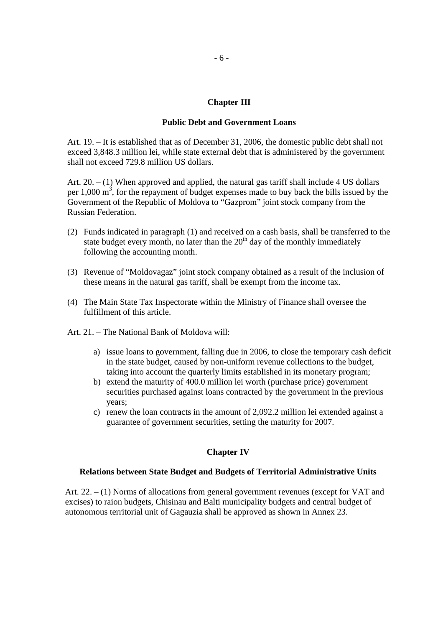## **Chapter III**

### **Public Debt and Government Loans**

Art. 19. – It is established that as of December 31, 2006, the domestic public debt shall not exceed 3,848.3 million lei, while state external debt that is administered by the government shall not exceed 729.8 million US dollars.

Art. 20. – (1) When approved and applied, the natural gas tariff shall include 4 US dollars per  $1,000 \text{ m}^3$ , for the repayment of budget expenses made to buy back the bills issued by the Government of the Republic of Moldova to "Gazprom" joint stock company from the Russian Federation.

- (2) Funds indicated in paragraph (1) and received on a cash basis, shall be transferred to the state budget every month, no later than the  $20<sup>th</sup>$  day of the monthly immediately following the accounting month.
- (3) Revenue of "Moldovagaz" joint stock company obtained as a result of the inclusion of these means in the natural gas tariff, shall be exempt from the income tax.
- (4) The Main State Tax Inspectorate within the Ministry of Finance shall oversee the fulfillment of this article.
- Art. 21. The National Bank of Moldova will:
	- a) issue loans to government, falling due in 2006, to close the temporary cash deficit in the state budget, caused by non-uniform revenue collections to the budget, taking into account the quarterly limits established in its monetary program;
	- b) extend the maturity of 400.0 million lei worth (purchase price) government securities purchased against loans contracted by the government in the previous years;
	- c) renew the loan contracts in the amount of 2,092.2 million lei extended against a guarantee of government securities, setting the maturity for 2007.

# **Chapter IV**

## **Relations between State Budget and Budgets of Territorial Administrative Units**

Art. 22. – (1) Norms of allocations from general government revenues (except for VAT and excises) to raion budgets, Chisinau and Balti municipality budgets and central budget of autonomous territorial unit of Gagauzia shall be approved as shown in Annex 23.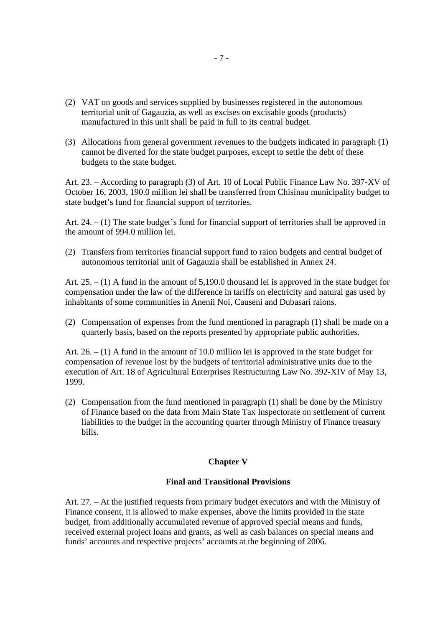- (2) VAT on goods and services supplied by businesses registered in the autonomous territorial unit of Gagauzia, as well as excises on excisable goods (products) manufactured in this unit shall be paid in full to its central budget.
- (3) Allocations from general government revenues to the budgets indicated in paragraph (1) cannot be diverted for the state budget purposes, except to settle the debt of these budgets to the state budget.

Art. 23. – According to paragraph (3) of Art. 10 of Local Public Finance Law No. 397-XV of October 16, 2003, 190.0 million lei shall be transferred from Chisinau municipality budget to state budget's fund for financial support of territories.

Art. 24. – (1) The state budget's fund for financial support of territories shall be approved in the amount of 994.0 million lei.

(2) Transfers from territories financial support fund to raion budgets and central budget of autonomous territorial unit of Gagauzia shall be established in Annex 24.

Art. 25. – (1) A fund in the amount of 5,190.0 thousand lei is approved in the state budget for compensation under the law of the difference in tariffs on electricity and natural gas used by inhabitants of some communities in Anenii Noi, Causeni and Dubasari raions.

(2) Compensation of expenses from the fund mentioned in paragraph (1) shall be made on a quarterly basis, based on the reports presented by appropriate public authorities.

Art. 26. – (1) A fund in the amount of 10.0 million lei is approved in the state budget for compensation of revenue lost by the budgets of territorial administrative units due to the execution of Art. 18 of Agricultural Enterprises Restructuring Law No. 392-XIV of May 13, 1999.

(2) Compensation from the fund mentioned in paragraph (1) shall be done by the Ministry of Finance based on the data from Main State Tax Inspectorate on settlement of current liabilities to the budget in the accounting quarter through Ministry of Finance treasury bills.

# **Chapter V**

### **Final and Transitional Provisions**

Art. 27. – At the justified requests from primary budget executors and with the Ministry of Finance consent, it is allowed to make expenses, above the limits provided in the state budget, from additionally accumulated revenue of approved special means and funds, received external project loans and grants, as well as cash balances on special means and funds' accounts and respective projects' accounts at the beginning of 2006.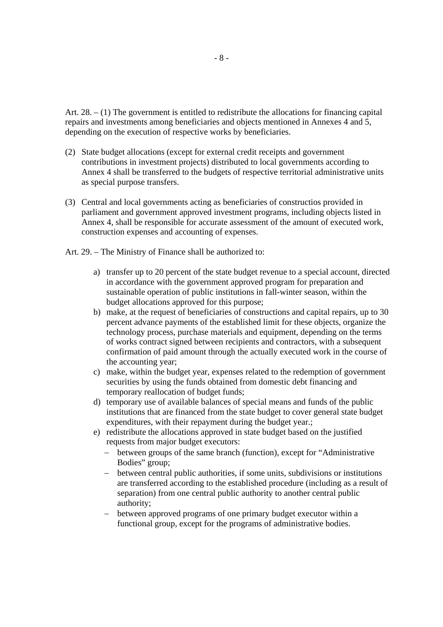Art. 28. – (1) The government is entitled to redistribute the allocations for financing capital repairs and investments among beneficiaries and objects mentioned in Annexes 4 and 5, depending on the execution of respective works by beneficiaries.

- (2) State budget allocations (except for external credit receipts and government contributions in investment projects) distributed to local governments according to Annex 4 shall be transferred to the budgets of respective territorial administrative units as special purpose transfers.
- (3) Central and local governments acting as beneficiaries of constructios provided in parliament and government approved investment programs, including objects listed in Annex 4, shall be responsible for accurate assessment of the amount of executed work, construction expenses and accounting of expenses.
- Art. 29. The Ministry of Finance shall be authorized to:
	- a) transfer up to 20 percent of the state budget revenue to a special account, directed in accordance with the government approved program for preparation and sustainable operation of public institutions in fall-winter season, within the budget allocations approved for this purpose;
	- b) make, at the request of beneficiaries of constructions and capital repairs, up to 30 percent advance payments of the established limit for these objects, organize the technology process, purchase materials and equipment, depending on the terms of works contract signed between recipients and contractors, with a subsequent confirmation of paid amount through the actually executed work in the course of the accounting year;
	- c) make, within the budget year, expenses related to the redemption of government securities by using the funds obtained from domestic debt financing and temporary reallocation of budget funds;
	- d) temporary use of available balances of special means and funds of the public institutions that are financed from the state budget to cover general state budget expenditures, with their repayment during the budget year.;
	- e) redistribute the allocations approved in state budget based on the justified requests from major budget executors:
		- − between groups of the same branch (function), except for "Administrative Bodies" group;
		- − between central public authorities, if some units, subdivisions or institutions are transferred according to the established procedure (including as a result of separation) from one central public authority to another central public authority;
		- − between approved programs of one primary budget executor within a functional group, except for the programs of administrative bodies.